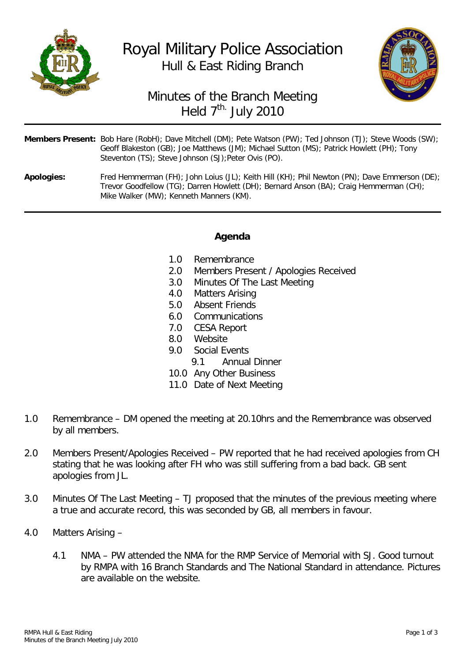

## Royal Military Police Association Hull & East Riding Branch



## Minutes of the Branch Meeting Held  $7^{\text{th}}$ . July 2010

| <b>Members Present:</b> Bob Hare (RobH); Dave Mitchell (DM); Pete Watson (PW); Ted Johnson (TJ); Steve Woods (SW); |
|--------------------------------------------------------------------------------------------------------------------|
| Geoff Blakeston (GB); Joe Matthews (JM); Michael Sutton (MS); Patrick Howlett (PH); Tony                           |
| Steventon (TS); Steve Johnson (SJ); Peter Ovis (PO).                                                               |
|                                                                                                                    |

**Apologies:** Fred Hemmerman (FH); John Loius (JL); Keith Hill (KH); Phil Newton (PN); Dave Emmerson (DE); Trevor Goodfellow (TG); Darren Howlett (DH); Bernard Anson (BA); Craig Hemmerman (CH); Mike Walker (MW); Kenneth Manners (KM).

## **Agenda**

- 
- 1.0 Remembrance<br>2.0 Members Prese 2.0 Members Present / Apologies Received<br>3.0 Minutes Of The Last Meeting
- Minutes Of The Last Meeting
- 4.0 Matters Arising<br>5.0 Absent Friends
- Absent Friends
- 6.0 Communications
- 7.0 CESA Report
- 8.0 Website<br>9.0 Social Fy
- Social Events
	- 9.1 Annual Dinner
- 10.0 Any Other Business
- 11.0 Date of Next Meeting
- 1.0 Remembrance DM opened the meeting at 20.10hrs and the Remembrance was observed by all members.
- 2.0 Members Present/Apologies Received PW reported that he had received apologies from CH stating that he was looking after FH who was still suffering from a bad back. GB sent apologies from JL.
- 3.0 Minutes Of The Last Meeting TJ proposed that the minutes of the previous meeting where a true and accurate record, this was seconded by GB, all members in favour.
- 4.0 Matters Arising
	- 4.1 NMA PW attended the NMA for the RMP Service of Memorial with SJ. Good turnout by RMPA with 16 Branch Standards and The National Standard in attendance. Pictures are available on the website.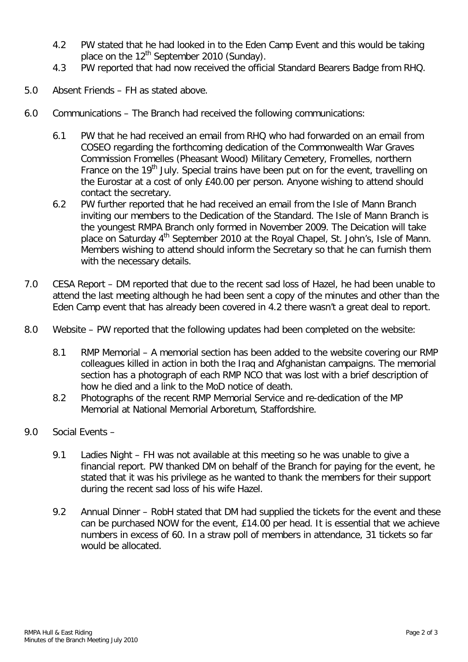- 4.2 PW stated that he had looked in to the Eden Camp Event and this would be taking place on the  $12^{th}$  September 2010 (Sunday).
- 4.3 PW reported that had now received the official Standard Bearers Badge from RHQ.
- 5.0 Absent Friends FH as stated above.
- 6.0 Communications The Branch had received the following communications:
	- 6.1 PW that he had received an email from RHQ who had forwarded on an email from COSEO regarding the forthcoming dedication of the Commonwealth War Graves Commission Fromelles (Pheasant Wood) Military Cemetery, Fromelles, northern France on the 19<sup>th</sup> July. Special trains have been put on for the event, travelling on the Eurostar at a cost of only £40.00 per person. Anyone wishing to attend should contact the secretary.
	- 6.2 PW further reported that he had received an email from the Isle of Mann Branch inviting our members to the Dedication of the Standard. The Isle of Mann Branch is the youngest RMPA Branch only formed in November 2009. The Deication will take place on Saturday 4<sup>th</sup> September 2010 at the Royal Chapel, St. John's, Isle of Mann. Members wishing to attend should inform the Secretary so that he can furnish them with the necessary details.
- 7.0 CESA Report DM reported that due to the recent sad loss of Hazel, he had been unable to attend the last meeting although he had been sent a copy of the minutes and other than the Eden Camp event that has already been covered in 4.2 there wasn't a great deal to report.
- 8.0 Website PW reported that the following updates had been completed on the website:
	- 8.1 RMP Memorial A memorial section has been added to the website covering our RMP colleagues killed in action in both the Iraq and Afghanistan campaigns. The memorial section has a photograph of each RMP NCO that was lost with a brief description of how he died and a link to the MoD notice of death.
	- 8.2 Photographs of the recent RMP Memorial Service and re-dedication of the MP Memorial at National Memorial Arboretum, Staffordshire.
- 9.0 Social Events
	- 9.1 Ladies Night FH was not available at this meeting so he was unable to give a financial report. PW thanked DM on behalf of the Branch for paying for the event, he stated that it was his privilege as he wanted to thank the members for their support during the recent sad loss of his wife Hazel.
	- 9.2 Annual Dinner RobH stated that DM had supplied the tickets for the event and these can be purchased NOW for the event, £14.00 per head. It is essential that we achieve numbers in excess of 60. In a straw poll of members in attendance, 31 tickets so far would be allocated.